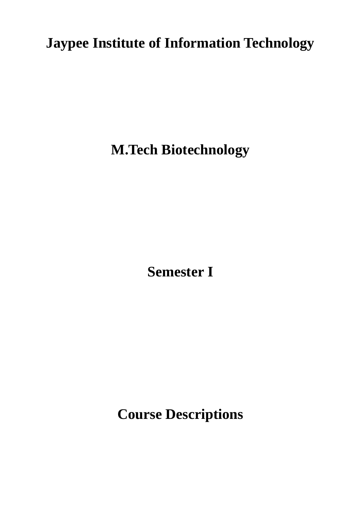# **Jaypee Institute of Information Technology**

**M.Tech Biotechnology**

**Semester I**

**Course Descriptions**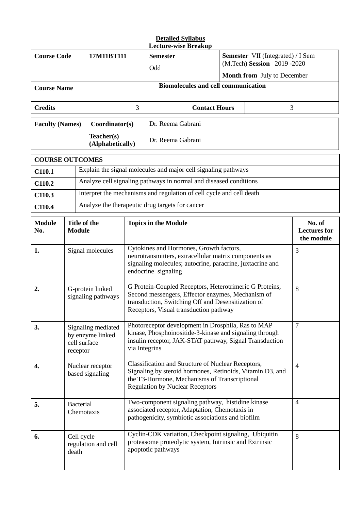| <b>Course Code</b>     |                                                                    |  | 17M11BT111                     |                                                                                                                                                                                                              | <b>Semester</b><br>Odd                                                                                                                |                                            |                | <b>Semester</b> VII (Integrated) / I Sem<br>(M.Tech) Session 2019-2020 |   |
|------------------------|--------------------------------------------------------------------|--|--------------------------------|--------------------------------------------------------------------------------------------------------------------------------------------------------------------------------------------------------------|---------------------------------------------------------------------------------------------------------------------------------------|--------------------------------------------|----------------|------------------------------------------------------------------------|---|
|                        |                                                                    |  |                                |                                                                                                                                                                                                              |                                                                                                                                       | <b>Month from</b> July to December         |                |                                                                        |   |
| <b>Course Name</b>     |                                                                    |  |                                |                                                                                                                                                                                                              |                                                                                                                                       | <b>Biomolecules and cell communication</b> |                |                                                                        |   |
| <b>Credits</b>         |                                                                    |  |                                | 3                                                                                                                                                                                                            |                                                                                                                                       | <b>Contact Hours</b>                       |                |                                                                        | 3 |
| <b>Faculty (Names)</b> |                                                                    |  | Coordinator(s)                 |                                                                                                                                                                                                              | Dr. Reema Gabrani                                                                                                                     |                                            |                |                                                                        |   |
|                        |                                                                    |  | Teacher(s)<br>(Alphabetically) |                                                                                                                                                                                                              | Dr. Reema Gabrani                                                                                                                     |                                            |                |                                                                        |   |
| <b>COURSE OUTCOMES</b> |                                                                    |  |                                |                                                                                                                                                                                                              |                                                                                                                                       |                                            |                |                                                                        |   |
| C110.1                 |                                                                    |  |                                |                                                                                                                                                                                                              | Explain the signal molecules and major cell signaling pathways                                                                        |                                            |                |                                                                        |   |
| C110.2                 |                                                                    |  |                                |                                                                                                                                                                                                              | Analyze cell signaling pathways in normal and diseased conditions                                                                     |                                            |                |                                                                        |   |
| C110.3                 |                                                                    |  |                                |                                                                                                                                                                                                              | Interpret the mechanisms and regulation of cell cycle and cell death                                                                  |                                            |                |                                                                        |   |
| C110.4                 |                                                                    |  |                                |                                                                                                                                                                                                              | Analyze the therapeutic drug targets for cancer                                                                                       |                                            |                |                                                                        |   |
| <b>Module</b><br>No.   | Title of the<br><b>Module</b>                                      |  |                                |                                                                                                                                                                                                              | <b>Topics in the Module</b>                                                                                                           |                                            |                | No. of<br><b>Lectures</b> for<br>the module                            |   |
| 1.                     | Signal molecules                                                   |  |                                | Cytokines and Hormones, Growth factors,<br>neurotransmitters, extracellular matrix components as<br>signaling molecules; autocrine, paracrine, juxtacrine and<br>endocrine signaling                         |                                                                                                                                       |                                            |                |                                                                        | 3 |
| 2.                     | G-protein linked<br>signaling pathways                             |  |                                | G Protein-Coupled Receptors, Heterotrimeric G Proteins,<br>Second messengers, Effector enzymes, Mechanism of<br>transduction, Switching Off and Desensitization of<br>Receptors, Visual transduction pathway |                                                                                                                                       |                                            |                | 8                                                                      |   |
| 3.                     | Signaling mediated<br>by enzyme linked<br>cell surface<br>receptor |  |                                | Photoreceptor development in Drosphila, Ras to MAP<br>kinase, Phosphoinositide-3-kinase and signaling through<br>insulin receptor, JAK-STAT pathway, Signal Transduction<br>via Integrins                    |                                                                                                                                       |                                            | $\overline{7}$ |                                                                        |   |
| 4.                     | Nuclear receptor<br>based signaling                                |  |                                | Classification and Structure of Nuclear Receptors,<br>Signaling by steroid hormones, Retinoids, Vitamin D3, and<br>the T3-Hormone, Mechanisms of Transcriptional<br><b>Regulation by Nuclear Receptors</b>   |                                                                                                                                       |                                            | $\overline{4}$ |                                                                        |   |
| 5.                     | <b>Bacterial</b><br>Chemotaxis                                     |  |                                | Two-component signaling pathway, histidine kinase<br>associated receptor, Adaptation, Chemotaxis in<br>pathogenicity, symbiotic associations and biofilm                                                     |                                                                                                                                       |                                            |                | $\overline{4}$                                                         |   |
| 6.                     | Cell cycle<br>death                                                |  | regulation and cell            |                                                                                                                                                                                                              | Cyclin-CDK variation, Checkpoint signaling, Ubiquitin<br>proteasome proteolytic system, Intrinsic and Extrinsic<br>apoptotic pathways |                                            |                |                                                                        | 8 |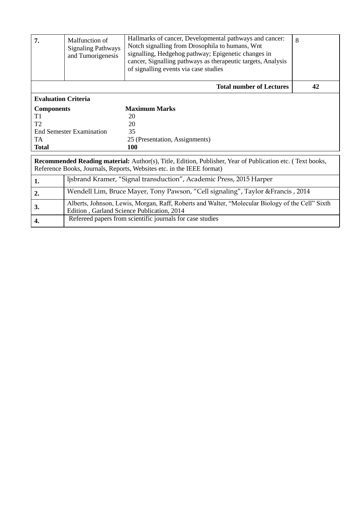| 7.                         | Malfunction of<br><b>Signaling Pathways</b><br>and Tumorigenesis | Hallmarks of cancer, Developmental pathways and cancer:<br>Notch signalling from Drosophila to humans, Wnt<br>signalling, Hedgehog pathway; Epigenetic changes in<br>cancer, Signalling pathways as therapeutic targets, Analysis<br>of signalling events via case studies | 8  |  |  |  |
|----------------------------|------------------------------------------------------------------|----------------------------------------------------------------------------------------------------------------------------------------------------------------------------------------------------------------------------------------------------------------------------|----|--|--|--|
|                            |                                                                  | <b>Total number of Lectures</b>                                                                                                                                                                                                                                            | 42 |  |  |  |
| <b>Evaluation Criteria</b> |                                                                  |                                                                                                                                                                                                                                                                            |    |  |  |  |
| <b>Components</b>          |                                                                  | <b>Maximum Marks</b>                                                                                                                                                                                                                                                       |    |  |  |  |
| T <sub>1</sub>             |                                                                  | 20                                                                                                                                                                                                                                                                         |    |  |  |  |
| T <sub>2</sub>             |                                                                  | 20                                                                                                                                                                                                                                                                         |    |  |  |  |
|                            | <b>End Semester Examination</b>                                  | 35                                                                                                                                                                                                                                                                         |    |  |  |  |
| <b>TA</b>                  |                                                                  | 25 (Presentation, Assignments)                                                                                                                                                                                                                                             |    |  |  |  |
| <b>Total</b>               |                                                                  | <b>100</b>                                                                                                                                                                                                                                                                 |    |  |  |  |
|                            |                                                                  |                                                                                                                                                                                                                                                                            |    |  |  |  |
|                            |                                                                  | <b>Recommended Reading material:</b> Author(s), Title, Edition, Publisher, Year of Publication etc. (Text books,<br>Reference Books, Journals, Reports, Websites etc. in the IEEE format)                                                                                  |    |  |  |  |
| 1.                         |                                                                  | ljsbrand Kramer, "Signal transduction", Academic Press, 2015 Harper                                                                                                                                                                                                        |    |  |  |  |
| $\overline{2}$ .           |                                                                  | Wendell Lim, Bruce Mayer, Tony Pawson, "Cell signaling", Taylor & Francis, 2014                                                                                                                                                                                            |    |  |  |  |
| 3.                         |                                                                  | Alberts, Johnson, Lewis, Morgan, Raff, Roberts and Walter, "Molecular Biology of the Cell" Sixth<br>Edition, Garland Science Publication, 2014                                                                                                                             |    |  |  |  |
| 4.                         |                                                                  | Refereed papers from scientific journals for case studies                                                                                                                                                                                                                  |    |  |  |  |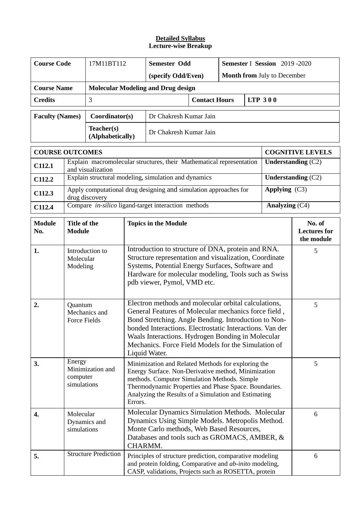| <b>Course Code</b>     |                                   | 17M11BT112                                               |                             | <b>Semester Odd</b>                                                                                                                                                                                                                                                                                                                                                |                      | <b>Semester I Session</b> 2019 -2020 |  |                                             |                         |
|------------------------|-----------------------------------|----------------------------------------------------------|-----------------------------|--------------------------------------------------------------------------------------------------------------------------------------------------------------------------------------------------------------------------------------------------------------------------------------------------------------------------------------------------------------------|----------------------|--------------------------------------|--|---------------------------------------------|-------------------------|
|                        |                                   | (specify Odd/Even)<br><b>Month from July to December</b> |                             |                                                                                                                                                                                                                                                                                                                                                                    |                      |                                      |  |                                             |                         |
| <b>Course Name</b>     |                                   |                                                          |                             | <b>Molecular Modeling and Drug design</b>                                                                                                                                                                                                                                                                                                                          |                      |                                      |  |                                             |                         |
| <b>Credits</b>         |                                   | 3                                                        |                             |                                                                                                                                                                                                                                                                                                                                                                    | <b>Contact Hours</b> |                                      |  | <b>LTP 300</b>                              |                         |
| <b>Faculty (Names)</b> |                                   | Coordinator(s)                                           |                             | Dr Chakresh Kumar Jain                                                                                                                                                                                                                                                                                                                                             |                      |                                      |  |                                             |                         |
|                        |                                   | Teacher(s)<br>(Alphabetically)                           |                             | Dr Chakresh Kumar Jain                                                                                                                                                                                                                                                                                                                                             |                      |                                      |  |                                             |                         |
| <b>COURSE OUTCOMES</b> |                                   |                                                          |                             |                                                                                                                                                                                                                                                                                                                                                                    |                      |                                      |  |                                             | <b>COGNITIVE LEVELS</b> |
| C112.1                 |                                   | and visualization                                        |                             | Explain macromolecular structures, their Mathematical representation                                                                                                                                                                                                                                                                                               |                      |                                      |  |                                             | Understanding $(C2)$    |
| C112.2                 |                                   |                                                          |                             | Explain structural modeling, simulation and dynamics                                                                                                                                                                                                                                                                                                               |                      |                                      |  |                                             | Understanding $(C2)$    |
| C112.3                 |                                   | drug discovery                                           |                             | Apply computational drug designing and simulation approaches for                                                                                                                                                                                                                                                                                                   |                      |                                      |  | Applying $(C3)$                             |                         |
| C112.4                 |                                   |                                                          |                             | Compare in-silico ligand-target interaction methods                                                                                                                                                                                                                                                                                                                |                      |                                      |  | Analyzing (C4)                              |                         |
| <b>Module</b><br>No.   | Title of the<br><b>Module</b>     |                                                          | <b>Topics in the Module</b> |                                                                                                                                                                                                                                                                                                                                                                    |                      |                                      |  | No. of<br><b>Lectures</b> for<br>the module |                         |
| 1.                     | Molecular<br>Modeling             | Introduction to                                          |                             | Introduction to structure of DNA, protein and RNA.<br>Structure representation and visualization, Coordinate<br>Systems, Potential Energy Surfaces, Software and<br>Hardware for molecular modeling, Tools such as Swiss<br>pdb viewer, Pymol, VMD etc.                                                                                                            |                      |                                      |  |                                             | 5                       |
| 2.                     | Quantum<br>Force Fields           | Mechanics and                                            |                             | Electron methods and molecular orbital calculations,<br>5<br>General Features of Molecular mechanics force field,<br>Bond Stretching. Angle Bending. Introduction to Non-<br>bonded Interactions. Electrostatic Interactions. Van der<br>Waals Interactions. Hydrogen Bonding in Molecular<br>Mechanics. Force Field Models for the Simulation of<br>Liquid Water. |                      |                                      |  |                                             |                         |
| 3.                     | Energy<br>computer<br>simulations | Minimization and                                         | Errors.                     | Minimization and Related Methods for exploring the<br>Energy Surface. Non-Derivative method, Minimization<br>methods. Computer Simulation Methods. Simple<br>Thermodynamic Properties and Phase Space. Boundaries.<br>Analyzing the Results of a Simulation and Estimating                                                                                         |                      |                                      |  |                                             | 5                       |
| 4.                     | Molecular<br>simulations          | Dynamics and                                             | CHARMM.                     | Molecular Dynamics Simulation Methods. Molecular<br>Dynamics Using Simple Models. Metropolis Method.<br>Monte Carlo methods, Web Based Resources,<br>Databases and tools such as GROMACS, AMBER, &                                                                                                                                                                 |                      |                                      |  |                                             | 6                       |
| 5.                     |                                   | <b>Structure Prediction</b>                              |                             | Principles of structure prediction, comparative modeling<br>and protein folding, Comparative and <i>ab-inito</i> modeling,<br>CASP, validations, Projects such as ROSETTA, protein                                                                                                                                                                                 |                      |                                      |  |                                             | 6                       |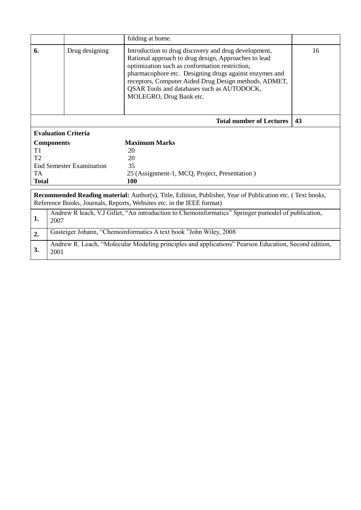|                                       |                | folding at home.                                                                                                                                                                                                                                                                                                                                           |    |  |  |  |  |
|---------------------------------------|----------------|------------------------------------------------------------------------------------------------------------------------------------------------------------------------------------------------------------------------------------------------------------------------------------------------------------------------------------------------------------|----|--|--|--|--|
| 6.                                    | Drug designing | Introduction to drug discovery and drug development,<br>Rational approach to drug design, Approaches to lead<br>optimization such as conformation restriction,<br>pharmacophore etc. Designing drugs against enzymes and<br>receptors, Computer Aided Drug Design methods. ADMET,<br>QSAR Tools and databases such as AUTODOCK,<br>MOLEGRO, Drug Bank etc. | 16 |  |  |  |  |
| <b>Total number of Lectures</b><br>43 |                |                                                                                                                                                                                                                                                                                                                                                            |    |  |  |  |  |
| <b>Evaluation Criteria</b>            |                |                                                                                                                                                                                                                                                                                                                                                            |    |  |  |  |  |
| <b>Components</b>                     |                | <b>Maximum Marks</b>                                                                                                                                                                                                                                                                                                                                       |    |  |  |  |  |
| T1                                    |                | 20                                                                                                                                                                                                                                                                                                                                                         |    |  |  |  |  |
| T <sub>2</sub>                        |                | 20                                                                                                                                                                                                                                                                                                                                                         |    |  |  |  |  |
| <b>End Semester Examination</b>       |                | 35                                                                                                                                                                                                                                                                                                                                                         |    |  |  |  |  |
| TA.                                   |                | 25 (Assignment-1, MCQ, Project, Presentation)                                                                                                                                                                                                                                                                                                              |    |  |  |  |  |
| <b>Total</b>                          |                | 100                                                                                                                                                                                                                                                                                                                                                        |    |  |  |  |  |
|                                       |                |                                                                                                                                                                                                                                                                                                                                                            |    |  |  |  |  |

| 1. | Andrew R leach, V.J Gillet, "An introduction to Chemoinformatics" Springer pumodel of publication,<br>2007   |
|----|--------------------------------------------------------------------------------------------------------------|
|    | Gasteiger Johann, "Chemoinformatics A text book "John Wiley, 2008                                            |
|    | Andrew R. Leach, "Molecular Modeling principles and applications" Pearson Education, Second edition,<br>2001 |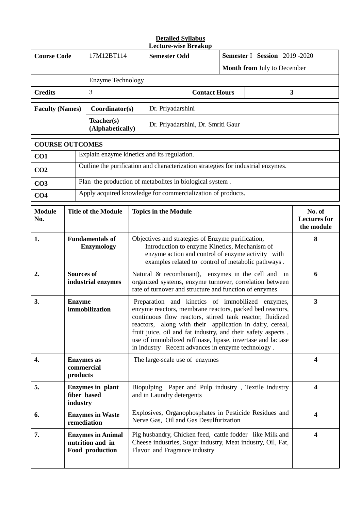| <b>Course Code</b>       |                                                    |  | 17M12BT114                                                                                                                                                                                                    |                                                                                                                                                                                                                                                                                                                                                                                                                           | <b>Semester Odd</b>                                                                                                                                      |                                             |   | Semester I Session 2019 - 2020<br>Month from July to December |                         |  |
|--------------------------|----------------------------------------------------|--|---------------------------------------------------------------------------------------------------------------------------------------------------------------------------------------------------------------|---------------------------------------------------------------------------------------------------------------------------------------------------------------------------------------------------------------------------------------------------------------------------------------------------------------------------------------------------------------------------------------------------------------------------|----------------------------------------------------------------------------------------------------------------------------------------------------------|---------------------------------------------|---|---------------------------------------------------------------|-------------------------|--|
| <b>Enzyme Technology</b> |                                                    |  |                                                                                                                                                                                                               |                                                                                                                                                                                                                                                                                                                                                                                                                           |                                                                                                                                                          |                                             |   |                                                               |                         |  |
| <b>Credits</b>           |                                                    |  | 3                                                                                                                                                                                                             |                                                                                                                                                                                                                                                                                                                                                                                                                           |                                                                                                                                                          | <b>Contact Hours</b>                        |   | 3                                                             |                         |  |
| <b>Faculty (Names)</b>   |                                                    |  | Coordinator(s)                                                                                                                                                                                                |                                                                                                                                                                                                                                                                                                                                                                                                                           | Dr. Priyadarshini                                                                                                                                        |                                             |   |                                                               |                         |  |
|                          |                                                    |  | Teacher(s)<br>(Alphabetically)                                                                                                                                                                                |                                                                                                                                                                                                                                                                                                                                                                                                                           | Dr. Priyadarshini, Dr. Smriti Gaur                                                                                                                       |                                             |   |                                                               |                         |  |
| <b>COURSE OUTCOMES</b>   |                                                    |  |                                                                                                                                                                                                               |                                                                                                                                                                                                                                                                                                                                                                                                                           |                                                                                                                                                          |                                             |   |                                                               |                         |  |
| CO <sub>1</sub>          |                                                    |  |                                                                                                                                                                                                               |                                                                                                                                                                                                                                                                                                                                                                                                                           | Explain enzyme kinetics and its regulation.                                                                                                              |                                             |   |                                                               |                         |  |
| CO <sub>2</sub>          |                                                    |  |                                                                                                                                                                                                               |                                                                                                                                                                                                                                                                                                                                                                                                                           | Outline the purification and characterization strategies for industrial enzymes.                                                                         |                                             |   |                                                               |                         |  |
| CO <sub>3</sub>          |                                                    |  |                                                                                                                                                                                                               |                                                                                                                                                                                                                                                                                                                                                                                                                           | Plan the production of metabolites in biological system.                                                                                                 |                                             |   |                                                               |                         |  |
| CO <sub>4</sub>          |                                                    |  |                                                                                                                                                                                                               |                                                                                                                                                                                                                                                                                                                                                                                                                           | Apply acquired knowledge for commercialization of products.                                                                                              |                                             |   |                                                               |                         |  |
| <b>Module</b><br>No.     | <b>Title of the Module</b>                         |  |                                                                                                                                                                                                               |                                                                                                                                                                                                                                                                                                                                                                                                                           | <b>Topics in the Module</b>                                                                                                                              | No. of<br><b>Lectures for</b><br>the module |   |                                                               |                         |  |
| 1.                       | <b>Fundamentals of</b><br><b>Enzymology</b>        |  | Objectives and strategies of Enzyme purification,<br>Introduction to enzyme Kinetics, Mechanism of<br>enzyme action and control of enzyme activity with<br>examples related to control of metabolic pathways. |                                                                                                                                                                                                                                                                                                                                                                                                                           |                                                                                                                                                          |                                             | 8 |                                                               |                         |  |
| 2.                       | <b>Sources of</b><br>industrial enzymes            |  |                                                                                                                                                                                                               | Natural & recombinant), enzymes in the cell and in<br>organized systems, enzyme turnover, correlation between<br>rate of turnover and structure and function of enzymes                                                                                                                                                                                                                                                   |                                                                                                                                                          |                                             |   |                                                               | 6                       |  |
| 3.                       | <b>Enzyme</b><br>immobilization                    |  |                                                                                                                                                                                                               | Preparation and kinetics of immobilized enzymes,<br>enzyme reactors, membrane reactors, packed bed reactors,<br>continuous flow reactors, stirred tank reactor, fluidized<br>reactors, along with their application in dairy, cereal,<br>fruit juice, oil and fat industry, and their safety aspects,<br>use of immobilized raffinase, lipase, invertase and lactase<br>in industry Recent advances in enzyme technology. |                                                                                                                                                          |                                             |   | $\overline{\mathbf{3}}$                                       |                         |  |
| 4.                       | <b>Enzymes</b> as<br>commercial<br>products        |  |                                                                                                                                                                                                               | The large-scale use of enzymes                                                                                                                                                                                                                                                                                                                                                                                            |                                                                                                                                                          |                                             |   |                                                               | $\overline{\mathbf{4}}$ |  |
| 5.                       | <b>Enzymes</b> in plant<br>fiber based<br>industry |  |                                                                                                                                                                                                               | Biopulping Paper and Pulp industry, Textile industry<br>and in Laundry detergents                                                                                                                                                                                                                                                                                                                                         |                                                                                                                                                          |                                             |   | 4                                                             |                         |  |
| 6.                       | <b>Enzymes in Waste</b><br>remediation             |  |                                                                                                                                                                                                               |                                                                                                                                                                                                                                                                                                                                                                                                                           | Explosives, Organophosphates in Pesticide Residues and<br>Nerve Gas, Oil and Gas Desulfurization                                                         |                                             |   |                                                               | $\overline{\mathbf{4}}$ |  |
| 7.                       |                                                    |  | <b>Enzymes in Animal</b><br>nutrition and in<br>Food production                                                                                                                                               |                                                                                                                                                                                                                                                                                                                                                                                                                           | Pig husbandry, Chicken feed, cattle fodder like Milk and<br>Cheese industries, Sugar industry, Meat industry, Oil, Fat,<br>Flavor and Fragrance industry |                                             |   |                                                               | 4                       |  |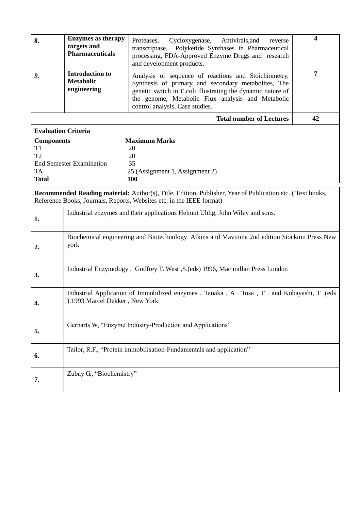| 8.                                                                                 | <b>Enzymes as therapy</b><br>targets and<br><b>Pharmaceuticals</b>                                                           | 4                                                                                                                                                                                         |    |  |  |  |  |
|------------------------------------------------------------------------------------|------------------------------------------------------------------------------------------------------------------------------|-------------------------------------------------------------------------------------------------------------------------------------------------------------------------------------------|----|--|--|--|--|
| 9.                                                                                 | <b>Introduction to</b><br><b>Metabolic</b><br>engineering                                                                    | 7                                                                                                                                                                                         |    |  |  |  |  |
|                                                                                    |                                                                                                                              | <b>Total number of Lectures</b>                                                                                                                                                           | 42 |  |  |  |  |
| <b>Evaluation Criteria</b>                                                         |                                                                                                                              |                                                                                                                                                                                           |    |  |  |  |  |
| <b>Components</b><br>T <sub>1</sub><br>T <sub>2</sub><br><b>TA</b><br><b>Total</b> | <b>End Semester Examination</b>                                                                                              | <b>Maximum Marks</b><br>20<br>20<br>35<br>25 (Assignment 1, Assignment 2)<br>100                                                                                                          |    |  |  |  |  |
|                                                                                    |                                                                                                                              | <b>Recommended Reading material:</b> Author(s), Title, Edition, Publisher, Year of Publication etc. (Text books,<br>Reference Books, Journals, Reports, Websites etc. in the IEEE format) |    |  |  |  |  |
| 1.                                                                                 |                                                                                                                              | Industrial enzymes and their applications Helmut Uhlig, John Wiley and sons.                                                                                                              |    |  |  |  |  |
| 2.                                                                                 | york                                                                                                                         | Biochemical engineering and Biotechnology Atkins and Mavituna 2nd edition Stockton Press New                                                                                              |    |  |  |  |  |
| 3.                                                                                 |                                                                                                                              | Industrial Enzymology . Godfrey T. West, S. (eds) 1996, Mac millan Press London                                                                                                           |    |  |  |  |  |
| 4.                                                                                 | Industrial Application of Immobilized enzymes . Tanaka, A. Tosa, T. and Kobayashi, T. (eds<br>).1993 Marcel Dekker, New York |                                                                                                                                                                                           |    |  |  |  |  |
| 5.                                                                                 |                                                                                                                              | Gerharts W, "Enzyme Industry-Production and Applications"                                                                                                                                 |    |  |  |  |  |
| 6.                                                                                 |                                                                                                                              | Tailor, R.F., "Protein immobilisation-Fundamentals and application"                                                                                                                       |    |  |  |  |  |
| 7.                                                                                 | Zubay G., "Biochemistry"                                                                                                     |                                                                                                                                                                                           |    |  |  |  |  |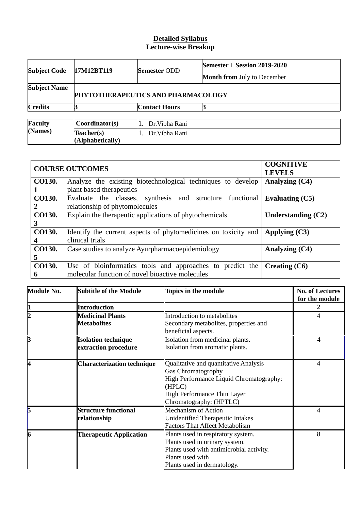| <b>Subject Code</b> | 17M12BT119                                | <b>Semester ODD</b>  | Semester I Session 2019-2020       |  |  |  |
|---------------------|-------------------------------------------|----------------------|------------------------------------|--|--|--|
|                     |                                           |                      | <b>Month from July to December</b> |  |  |  |
| <b>Subject Name</b> | <b>PHYTOTHERAPEUTICS AND PHARMACOLOGY</b> |                      |                                    |  |  |  |
| <b>Credits</b>      |                                           | <b>Contact Hours</b> |                                    |  |  |  |
|                     |                                           |                      |                                    |  |  |  |
| Faculty             | Coordinator(s)                            | Dr. Vibha Rani       |                                    |  |  |  |
| (Names)             | Teacher(s)<br>(Alphabetically)            | Dr. Vibha Rani       |                                    |  |  |  |

|                    | <b>COURSE OUTCOMES</b>                                                                   | <b>COGNITIVE</b><br><b>LEVELS</b> |
|--------------------|------------------------------------------------------------------------------------------|-----------------------------------|
| <b>CO130.</b>      | Analyze the existing biotechnological techniques to develop<br>plant based therapeutics  | Analyzing (C4)                    |
| <b>CO130.</b>      | Evaluate the classes, synthesis and structure functional                                 | Evaluating $(C5)$                 |
| 2<br><b>CO130.</b> | relationship of phytomolecules<br>Explain the therapeutic applications of phytochemicals | Understanding $(C2)$              |
| 3                  |                                                                                          |                                   |
| <b>CO130.</b><br>4 | Identify the current aspects of phytomedicines on toxicity and<br>clinical trials        | Applying $(C3)$                   |
| <b>CO130.</b><br>5 | Case studies to analyze Ayurpharmacoepidemiology                                         | Analyzing (C4)                    |
| CO130.             | Use of bioinformatics tools and approaches to predict the                                | Creating $(C6)$                   |
| 6                  | molecular function of novel bioactive molecules                                          |                                   |

| Module No.                | Subtitle of the Module                             | Topics in the module                                                                                                                                                              | <b>No. of Lectures</b><br>for the module |
|---------------------------|----------------------------------------------------|-----------------------------------------------------------------------------------------------------------------------------------------------------------------------------------|------------------------------------------|
|                           | Introduction                                       |                                                                                                                                                                                   | 2                                        |
| $\overline{2}$            | <b>Medicinal Plants</b><br><b>Metabolites</b>      | Introduction to metabolites<br>Secondary metabolites, properties and<br>beneficial aspects.                                                                                       | 4                                        |
| $\boldsymbol{\mathsf{3}}$ | <b>Isolation technique</b><br>extraction procedure | Isolation from medicinal plants.<br>Isolation from aromatic plants.                                                                                                               | 4                                        |
| $\overline{A}$            | <b>Characterization technique</b>                  | Qualitative and quantitative Analysis<br><b>Gas Chromatogrophy</b><br>High Performance Liquid Chromatography:<br>(HPLC)<br>High Performance Thin Layer<br>Chromatography: (HPTLC) | 4                                        |
| 5                         | <b>Structure functional</b><br>relationship        | Mechanism of Action<br>Unidentified Therapeutic Intakes<br><b>Factors That Affect Metabolism</b>                                                                                  | 4                                        |
| 6                         | <b>Therapeutic Application</b>                     | Plants used in respiratory system.<br>Plants used in urinary system.<br>Plants used with antimicrobial activity.<br>Plants used with<br>Plants used in dermatology.               | 8                                        |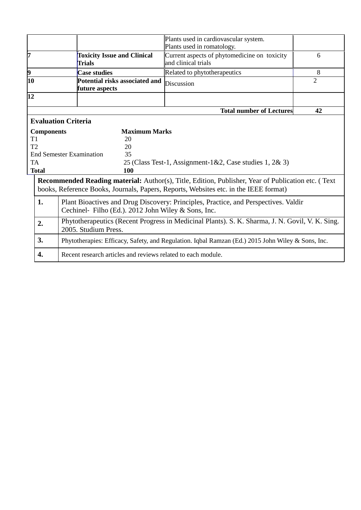|                                         |                                                                                                                                            | Plants used in cardiovascular system.                                                                                                                                                             |                |  |  |  |
|-----------------------------------------|--------------------------------------------------------------------------------------------------------------------------------------------|---------------------------------------------------------------------------------------------------------------------------------------------------------------------------------------------------|----------------|--|--|--|
|                                         |                                                                                                                                            | Plants used in romatology.                                                                                                                                                                        |                |  |  |  |
| 7<br><b>Toxicity Issue and Clinical</b> |                                                                                                                                            | Current aspects of phytomedicine on toxicity                                                                                                                                                      | 6              |  |  |  |
|                                         | <b>Trials</b>                                                                                                                              | and clinical trials                                                                                                                                                                               |                |  |  |  |
| 9                                       | <b>Case studies</b>                                                                                                                        | Related to phytotherapeutics                                                                                                                                                                      | 8              |  |  |  |
| 10                                      | Potential risks associated and                                                                                                             | Discussion                                                                                                                                                                                        | $\overline{2}$ |  |  |  |
|                                         | future aspects                                                                                                                             |                                                                                                                                                                                                   |                |  |  |  |
| 12                                      |                                                                                                                                            |                                                                                                                                                                                                   |                |  |  |  |
|                                         |                                                                                                                                            | <b>Total number of Lectures</b>                                                                                                                                                                   | 42             |  |  |  |
|                                         | <b>Evaluation Criteria</b>                                                                                                                 |                                                                                                                                                                                                   |                |  |  |  |
| <b>Components</b>                       | <b>Maximum Marks</b>                                                                                                                       |                                                                                                                                                                                                   |                |  |  |  |
| T1                                      | 20                                                                                                                                         |                                                                                                                                                                                                   |                |  |  |  |
| T <sub>2</sub>                          | 20                                                                                                                                         |                                                                                                                                                                                                   |                |  |  |  |
|                                         | 35<br><b>End Semester Examination</b>                                                                                                      |                                                                                                                                                                                                   |                |  |  |  |
| <b>TA</b>                               |                                                                                                                                            | 25 (Class Test-1, Assignment-1&2, Case studies 1, 2& 3)                                                                                                                                           |                |  |  |  |
| <b>Total</b>                            | 100                                                                                                                                        |                                                                                                                                                                                                   |                |  |  |  |
|                                         |                                                                                                                                            | <b>Recommended Reading material:</b> Author(s), Title, Edition, Publisher, Year of Publication etc. (Text<br>books, Reference Books, Journals, Papers, Reports, Websites etc. in the IEEE format) |                |  |  |  |
| 1.                                      | Plant Bioactives and Drug Discovery: Principles, Practice, and Perspectives. Valdir<br>Cechinel- Filho (Ed.). 2012 John Wiley & Sons, Inc. |                                                                                                                                                                                                   |                |  |  |  |
| 2.                                      | Phytotherapeutics (Recent Progress in Medicinal Plants). S. K. Sharma, J. N. Govil, V. K. Sing.<br>2005. Studium Press.                    |                                                                                                                                                                                                   |                |  |  |  |
| 3.                                      | Phytotherapies: Efficacy, Safety, and Regulation. Iqbal Ramzan (Ed.) 2015 John Wiley & Sons, Inc.                                          |                                                                                                                                                                                                   |                |  |  |  |
| 4.                                      | Recent research articles and reviews related to each module.                                                                               |                                                                                                                                                                                                   |                |  |  |  |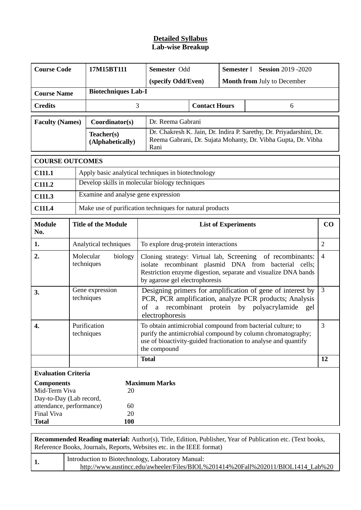## **Detailed Syllabus Lab-wise Breakup**

| <b>Course Code</b>                                                                                                                                                       |  | 17M15BT111                                               | Semester Odd                                                                                                                                                                                                           |                      | Semester I Session 2019 - 2020     |                                                                                                                                      |                |
|--------------------------------------------------------------------------------------------------------------------------------------------------------------------------|--|----------------------------------------------------------|------------------------------------------------------------------------------------------------------------------------------------------------------------------------------------------------------------------------|----------------------|------------------------------------|--------------------------------------------------------------------------------------------------------------------------------------|----------------|
|                                                                                                                                                                          |  |                                                          | (specify Odd/Even)                                                                                                                                                                                                     |                      | <b>Month from July to December</b> |                                                                                                                                      |                |
| <b>Course Name</b>                                                                                                                                                       |  | <b>Biotechniques Lab-I</b>                               |                                                                                                                                                                                                                        |                      |                                    |                                                                                                                                      |                |
| <b>Credits</b>                                                                                                                                                           |  | 3                                                        |                                                                                                                                                                                                                        | <b>Contact Hours</b> |                                    | 6                                                                                                                                    |                |
| <b>Faculty (Names)</b>                                                                                                                                                   |  | Coordinator(s)                                           | Dr. Reema Gabrani                                                                                                                                                                                                      |                      |                                    |                                                                                                                                      |                |
|                                                                                                                                                                          |  | Teacher(s)<br>(Alphabetically)                           | Rani                                                                                                                                                                                                                   |                      |                                    | Dr. Chakresh K. Jain, Dr. Indira P. Sarethy, Dr. Priyadarshini, Dr.<br>Reema Gabrani, Dr. Sujata Mohanty, Dr. Vibha Gupta, Dr. Vibha |                |
| <b>COURSE OUTCOMES</b>                                                                                                                                                   |  |                                                          |                                                                                                                                                                                                                        |                      |                                    |                                                                                                                                      |                |
| C111.1                                                                                                                                                                   |  | Apply basic analytical techniques in biotechnology       |                                                                                                                                                                                                                        |                      |                                    |                                                                                                                                      |                |
| C111.2                                                                                                                                                                   |  | Develop skills in molecular biology techniques           |                                                                                                                                                                                                                        |                      |                                    |                                                                                                                                      |                |
| C111.3                                                                                                                                                                   |  | Examine and analyse gene expression                      |                                                                                                                                                                                                                        |                      |                                    |                                                                                                                                      |                |
| C111.4                                                                                                                                                                   |  | Make use of purification techniques for natural products |                                                                                                                                                                                                                        |                      |                                    |                                                                                                                                      |                |
| <b>Module</b><br>No.                                                                                                                                                     |  | <b>Title of the Module</b>                               | <b>List of Experiments</b>                                                                                                                                                                                             |                      |                                    |                                                                                                                                      | CO             |
| 1.                                                                                                                                                                       |  | Analytical techniques                                    | To explore drug-protein interactions                                                                                                                                                                                   |                      |                                    |                                                                                                                                      | $\overline{2}$ |
| 2.                                                                                                                                                                       |  | Molecular<br>biology<br>techniques                       | Cloning strategy: Virtual lab, Screening of recombinants:<br>isolate recombinant plasmid DNA from bacterial cells;<br>Restriction enzyme digestion, separate and visualize DNA bands<br>by agarose gel electrophoresis |                      |                                    |                                                                                                                                      |                |
| 3.                                                                                                                                                                       |  | Gene expression<br>techniques                            | Designing primers for amplification of gene of interest by<br>PCR, PCR amplification, analyze PCR products; Analysis<br>a recombinant protein by polyacrylamide<br>οf<br>gel<br>electrophoresis                        |                      |                                    |                                                                                                                                      | 3              |
| 4.                                                                                                                                                                       |  | Purification<br>techniques                               | To obtain antimicrobial compound from bacterial culture; to<br>purify the antimicrobial compound by column chromatography;<br>use of bioactivity-guided fractionation to analyse and quantify<br>the compound          |                      |                                    |                                                                                                                                      | 3              |
|                                                                                                                                                                          |  |                                                          | <b>Total</b>                                                                                                                                                                                                           |                      |                                    |                                                                                                                                      | 12             |
| <b>Evaluation Criteria</b>                                                                                                                                               |  |                                                          |                                                                                                                                                                                                                        |                      |                                    |                                                                                                                                      |                |
| <b>Maximum Marks</b><br><b>Components</b><br>Mid-Term Viva<br>20<br>Day-to-Day (Lab record,<br>attendance, performance)<br>60<br>Final Viva<br>20<br><b>Total</b><br>100 |  |                                                          |                                                                                                                                                                                                                        |                      |                                    |                                                                                                                                      |                |

**Recommended Reading material:** Author(s), Title, Edition, Publisher, Year of Publication etc. (Text books, Reference Books, Journals, Reports, Websites etc. in the IEEE format)

| Introduction to Biotechnology, Laboratory Manual:                                |
|----------------------------------------------------------------------------------|
| http://www.austincc.edu/awheeler/Files/BIOL%201414%20Fall%202011/BIOL1414 Lab%20 |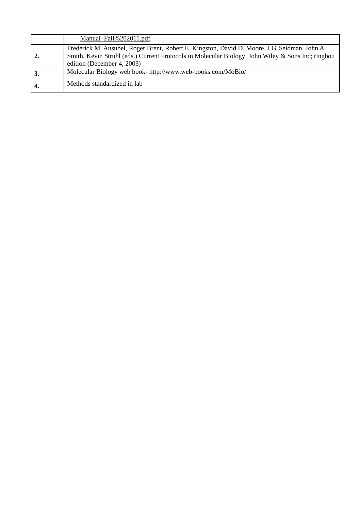|    | Manual Fall%202011.pdf                                                                                                                                                                                                          |
|----|---------------------------------------------------------------------------------------------------------------------------------------------------------------------------------------------------------------------------------|
|    | Frederick M. Ausubel, Roger Brent, Robert E. Kingston, David D. Moore, J.G. Seidman, John A.<br>Smith, Kevin Struhl (eds.) Current Protocols in Molecular Biology. John Wiley & Sons Inc; ringbou<br>edition (December 4, 2003) |
| 3. | Molecular Biology web book- http://www.web-books.com/MoBio/                                                                                                                                                                     |
|    | Methods standardized in lab                                                                                                                                                                                                     |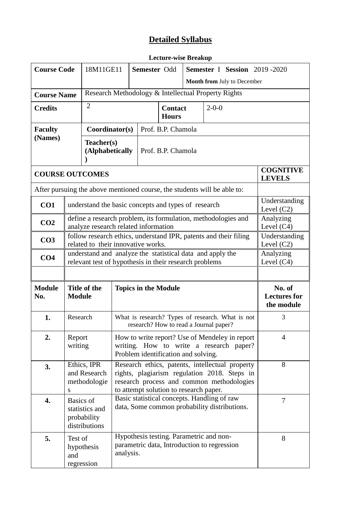# **Detailed Syllabus**

| <b>Course Code</b>                                                       |                                                                                                                                                                                                                                            | 18M11GE11<br>Semester Odd<br>Semester I Session 2019-2020<br>Month from July to December               |           |                                                                                        |                                |  |                                             |                                                  |                                   |
|--------------------------------------------------------------------------|--------------------------------------------------------------------------------------------------------------------------------------------------------------------------------------------------------------------------------------------|--------------------------------------------------------------------------------------------------------|-----------|----------------------------------------------------------------------------------------|--------------------------------|--|---------------------------------------------|--------------------------------------------------|-----------------------------------|
| <b>Course Name</b>                                                       |                                                                                                                                                                                                                                            | Research Methodology & Intellectual Property Rights                                                    |           |                                                                                        |                                |  |                                             |                                                  |                                   |
| <b>Credits</b>                                                           |                                                                                                                                                                                                                                            | $\overline{2}$                                                                                         |           |                                                                                        | <b>Contact</b><br><b>Hours</b> |  | $2 - 0 - 0$                                 |                                                  |                                   |
| <b>Faculty</b>                                                           |                                                                                                                                                                                                                                            | Coordinator(s)                                                                                         |           |                                                                                        | Prof. B.P. Chamola             |  |                                             |                                                  |                                   |
| (Names)                                                                  |                                                                                                                                                                                                                                            | Teacher(s)<br>Prof. B.P. Chamola<br>(Alphabetically                                                    |           |                                                                                        |                                |  |                                             |                                                  |                                   |
| <b>COURSE OUTCOMES</b>                                                   |                                                                                                                                                                                                                                            |                                                                                                        |           |                                                                                        |                                |  |                                             |                                                  | <b>COGNITIVE</b><br><b>LEVELS</b> |
| After pursuing the above mentioned course, the students will be able to: |                                                                                                                                                                                                                                            |                                                                                                        |           |                                                                                        |                                |  |                                             |                                                  |                                   |
| CO1                                                                      |                                                                                                                                                                                                                                            | understand the basic concepts and types of research                                                    |           |                                                                                        |                                |  |                                             |                                                  | Understanding<br>Level $(C2)$     |
| CO <sub>2</sub>                                                          |                                                                                                                                                                                                                                            | define a research problem, its formulation, methodologies and<br>analyze research related information  |           |                                                                                        |                                |  |                                             |                                                  | Analyzing<br>Level $(C4)$         |
| CO <sub>3</sub>                                                          |                                                                                                                                                                                                                                            | follow research ethics, understand IPR, patents and their filing<br>related to their innovative works. |           |                                                                                        |                                |  |                                             |                                                  | Understanding<br>Level $(C2)$     |
| CO <sub>4</sub>                                                          | understand and analyze the statistical data and apply the<br>relevant test of hypothesis in their research problems                                                                                                                        |                                                                                                        |           |                                                                                        |                                |  | Analyzing<br>Level $(C4)$                   |                                                  |                                   |
|                                                                          |                                                                                                                                                                                                                                            |                                                                                                        |           |                                                                                        |                                |  |                                             |                                                  |                                   |
| <b>Module</b><br>No.                                                     | Title of the<br><b>Topics in the Module</b><br><b>Module</b>                                                                                                                                                                               |                                                                                                        |           |                                                                                        |                                |  | No. of<br><b>Lectures for</b><br>the module |                                                  |                                   |
| 1.                                                                       | Research                                                                                                                                                                                                                                   |                                                                                                        |           | research? How to read a Journal paper?                                                 |                                |  |                                             | What is research? Types of research. What is not | 3                                 |
| 2.                                                                       | How to write report? Use of Mendeley in report<br>Report<br>writing. How to write a research paper?<br>writing<br>Problem identification and solving.                                                                                      |                                                                                                        |           |                                                                                        |                                |  | 4                                           |                                                  |                                   |
| 3.                                                                       | Ethics, IPR<br>Research ethics, patents, intellectual property<br>rights, plagiarism regulation 2018. Steps in<br>and Research<br>research process and common methodologies<br>methodologie<br>to attempt solution to research paper.<br>S |                                                                                                        |           |                                                                                        |                                |  | 8                                           |                                                  |                                   |
| 4.                                                                       | Basic statistical concepts. Handling of raw<br><b>Basics</b> of<br>data, Some common probability distributions.<br>statistics and<br>probability<br>distributions                                                                          |                                                                                                        |           |                                                                                        |                                |  |                                             | 7                                                |                                   |
| 5.                                                                       | Test of<br>and                                                                                                                                                                                                                             | hypothesis<br>regression                                                                               | analysis. | Hypothesis testing. Parametric and non-<br>parametric data, Introduction to regression |                                |  |                                             |                                                  | 8                                 |

#### **Lecture-wise Breakup**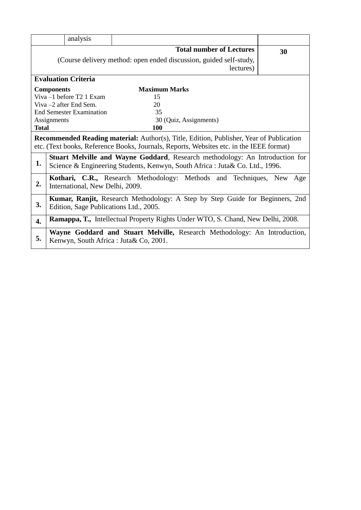|              | analysis                                                           |  |                                                                                                                                                                                           |     |  |  |  |  |  |
|--------------|--------------------------------------------------------------------|--|-------------------------------------------------------------------------------------------------------------------------------------------------------------------------------------------|-----|--|--|--|--|--|
|              | <b>Total number of Lectures</b>                                    |  |                                                                                                                                                                                           |     |  |  |  |  |  |
|              | (Course delivery method: open ended discussion, guided self-study, |  |                                                                                                                                                                                           |     |  |  |  |  |  |
|              |                                                                    |  |                                                                                                                                                                                           |     |  |  |  |  |  |
|              | <b>Evaluation Criteria</b>                                         |  |                                                                                                                                                                                           |     |  |  |  |  |  |
|              | <b>Components</b>                                                  |  | <b>Maximum Marks</b>                                                                                                                                                                      |     |  |  |  |  |  |
|              | Viva -1 before T2 1 Exam                                           |  | 15                                                                                                                                                                                        |     |  |  |  |  |  |
|              | Viva -2 after End Sem.                                             |  | 20                                                                                                                                                                                        |     |  |  |  |  |  |
|              | <b>End Semester Examination</b>                                    |  | 35                                                                                                                                                                                        |     |  |  |  |  |  |
|              | Assignments                                                        |  | 30 (Quiz, Assignments)                                                                                                                                                                    |     |  |  |  |  |  |
| <b>Total</b> |                                                                    |  | <b>100</b>                                                                                                                                                                                |     |  |  |  |  |  |
|              |                                                                    |  | <b>Recommended Reading material:</b> Author(s), Title, Edition, Publisher, Year of Publication<br>etc. (Text books, Reference Books, Journals, Reports, Websites etc. in the IEEE format) |     |  |  |  |  |  |
| 1.           |                                                                    |  | <b>Stuart Melville and Wayne Goddard, Research methodology: An Introduction for</b><br>Science & Engineering Students, Kenwyn, South Africa : Juta& Co. Ltd., 1996.                       |     |  |  |  |  |  |
| 2.           | International, New Delhi, 2009.                                    |  | Kothari, C.R., Research Methodology: Methods and Techniques, New                                                                                                                          | Age |  |  |  |  |  |
| 3.           |                                                                    |  | <b>Kumar, Ranjit,</b> Research Methodology: A Step by Step Guide for Beginners, 2nd<br>Edition, Sage Publications Ltd., 2005.                                                             |     |  |  |  |  |  |
| 4.           |                                                                    |  | Ramappa, T., Intellectual Property Rights Under WTO, S. Chand, New Delhi, 2008.                                                                                                           |     |  |  |  |  |  |
| 5.           |                                                                    |  | Wayne Goddard and Stuart Melville, Research Methodology: An Introduction,<br>Kenwyn, South Africa : Juta& Co, 2001.                                                                       |     |  |  |  |  |  |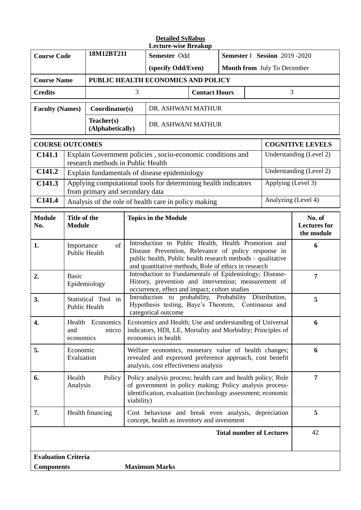# **Detailed Syllabus**

|                            | <b>Lecture-wise Breakup</b>   |                                      |                                                                                                                                                                                                                                   |                                                                                                                                                           |                      |                              |  |                                 |                                             |
|----------------------------|-------------------------------|--------------------------------------|-----------------------------------------------------------------------------------------------------------------------------------------------------------------------------------------------------------------------------------|-----------------------------------------------------------------------------------------------------------------------------------------------------------|----------------------|------------------------------|--|---------------------------------|---------------------------------------------|
| <b>Course Code</b>         |                               | 18M12BT211                           |                                                                                                                                                                                                                                   | Semester Odd                                                                                                                                              |                      | Semester I Session 2019-2020 |  |                                 |                                             |
|                            |                               |                                      |                                                                                                                                                                                                                                   | (specify Odd/Even)                                                                                                                                        |                      | Month from July To December  |  |                                 |                                             |
| <b>Course Name</b>         |                               |                                      |                                                                                                                                                                                                                                   | PUBLIC HEALTH ECONOMICS AND POLICY                                                                                                                        |                      |                              |  |                                 |                                             |
| <b>Credits</b>             |                               |                                      | 3                                                                                                                                                                                                                                 |                                                                                                                                                           | <b>Contact Hours</b> |                              |  | 3                               |                                             |
| <b>Faculty (Names)</b>     |                               | Coordinator(s)                       |                                                                                                                                                                                                                                   | DR. ASHWANI MATHUR                                                                                                                                        |                      |                              |  |                                 |                                             |
|                            |                               | Teacher(s)<br>(Alphabetically)       |                                                                                                                                                                                                                                   | DR. ASHWANI MATHUR                                                                                                                                        |                      |                              |  |                                 |                                             |
| <b>COURSE OUTCOMES</b>     |                               |                                      |                                                                                                                                                                                                                                   |                                                                                                                                                           |                      |                              |  |                                 | <b>COGNITIVE LEVELS</b>                     |
| C141.1                     |                               | research methods in Public Health    |                                                                                                                                                                                                                                   | Explain Government policies, socio-economic conditions and                                                                                                |                      |                              |  |                                 | Understanding (Level 2)                     |
| C141.2                     |                               |                                      |                                                                                                                                                                                                                                   | Explain fundamentals of disease epidemiology                                                                                                              |                      |                              |  |                                 | Understanding (Level 2)                     |
| C141.3                     |                               | from primary and secondary data      |                                                                                                                                                                                                                                   | Applying computational tools for determining health indicators                                                                                            |                      |                              |  | Applying (Level 3)              |                                             |
| C141.4                     |                               |                                      |                                                                                                                                                                                                                                   | Analysis of the role of health care in policy making                                                                                                      |                      |                              |  | Analyzing (Level 4)             |                                             |
| <b>Module</b><br>No.       | Title of the<br><b>Module</b> |                                      |                                                                                                                                                                                                                                   | <b>Topics in the Module</b>                                                                                                                               |                      |                              |  |                                 | No. of<br><b>Lectures</b> for<br>the module |
| 1.                         | Importance                    | of<br>Public Health                  | Introduction to Public Health, Health Promotion and<br>Disease Prevention, Relevance of policy response in<br>public health, Public health research methods - qualitative<br>and quantitative methods, Role of ethics in research |                                                                                                                                                           |                      |                              |  | 6                               |                                             |
| 2.                         | <b>Basic</b>                  | Epidemiology                         | Introduction to Fundamentals of Epidemiology; Disease-<br>History, prevention and intervention; measurement of<br>occurrence, effect and impact; cohort studies                                                                   |                                                                                                                                                           |                      |                              |  |                                 | 7                                           |
| 3.                         |                               | Statistical Tool in<br>Public Health |                                                                                                                                                                                                                                   | Introduction to probability, Probability Distribution,<br>Hypothesis testing, Baye's Theorem, Continuous and<br>categorical outcome                       |                      |                              |  |                                 | 5                                           |
| 4.                         | and<br>economics              | Health Economics<br>micro            |                                                                                                                                                                                                                                   | Economics and Health; Use and understanding of Universal<br>indicators, HDI, LE, Mortality and Morbidity; Principles of<br>economics in health            |                      |                              |  |                                 | 6                                           |
| 5.                         | Economic<br>Evaluation        |                                      |                                                                                                                                                                                                                                   | Welfare economics, monetary value of health changes;<br>revealed and expressed preference approach, cost benefit<br>analysis, cost effectiveness analysis |                      |                              |  |                                 | 6                                           |
| 6.                         | Health<br>Analysis            | Policy                               | Policy analysis process; health care and health policy; Role<br>of government in policy making; Policy analysis process-<br>identification, evaluation (technology assessment; economic<br>viability)                             |                                                                                                                                                           |                      |                              |  |                                 | $\overline{7}$                              |
| 7.                         |                               | Health financing                     | Cost behaviour and break even analysis, depreciation<br>concept, health as inventory and investment                                                                                                                               |                                                                                                                                                           |                      |                              |  |                                 | 5                                           |
|                            |                               |                                      |                                                                                                                                                                                                                                   |                                                                                                                                                           |                      |                              |  | <b>Total number of Lectures</b> | 42                                          |
| <b>Evaluation Criteria</b> |                               |                                      |                                                                                                                                                                                                                                   |                                                                                                                                                           |                      |                              |  |                                 |                                             |
| <b>Components</b>          |                               |                                      |                                                                                                                                                                                                                                   | <b>Maximum Marks</b>                                                                                                                                      |                      |                              |  |                                 |                                             |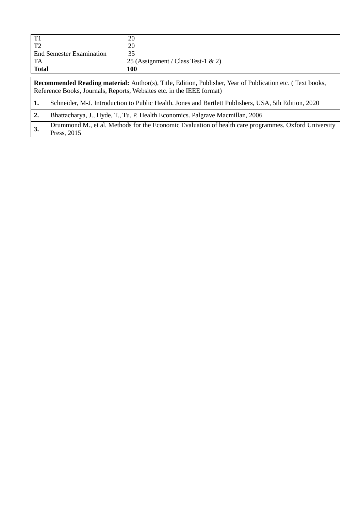|                                 | 20                                     |
|---------------------------------|----------------------------------------|
| ፐን                              | 20                                     |
| <b>End Semester Examination</b> | 35                                     |
| TA                              | 25 (Assignment / Class Test-1 $\& 2$ ) |
| <b>Total</b>                    | 100                                    |
|                                 |                                        |

|    | Schneider, M-J. Introduction to Public Health. Jones and Bartlett Publishers, USA, 5th Edition, 2020                |
|----|---------------------------------------------------------------------------------------------------------------------|
| 2. | Bhattacharya, J., Hyde, T., Tu, P. Health Economics. Palgrave Macmillan, 2006                                       |
| 3. | Drummond M., et al. Methods for the Economic Evaluation of health care programmes. Oxford University<br>Press, 2015 |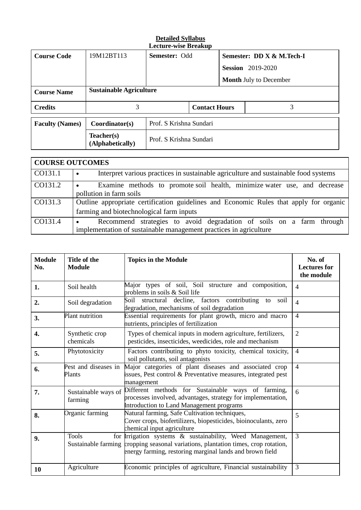| <b>Course Code</b>     | 19M12BT113<br>Semester: Odd    |                         |                      | Semester: DD X & M.Tech-I |                               |  |
|------------------------|--------------------------------|-------------------------|----------------------|---------------------------|-------------------------------|--|
|                        |                                |                         |                      |                           | <b>Session</b> 2019-2020      |  |
|                        |                                |                         |                      |                           | <b>Month July to December</b> |  |
| <b>Course Name</b>     | <b>Sustainable Agriculture</b> |                         |                      |                           |                               |  |
| <b>Credits</b>         | 3                              |                         | <b>Contact Hours</b> |                           | 3                             |  |
| <b>Faculty (Names)</b> | Coordinator(s)                 | Prof. S Krishna Sundari |                      |                           |                               |  |
|                        | Teacher(s)<br>(Alphabetically) | Prof. S Krishna Sundari |                      |                           |                               |  |

|                 | <b>COURSE OUTCOMES</b>                                                                           |  |  |  |  |  |  |
|-----------------|--------------------------------------------------------------------------------------------------|--|--|--|--|--|--|
| CO131.1         | Interpret various practices in sustainable agriculture and sustainable food systems<br>$\bullet$ |  |  |  |  |  |  |
| $\vert$ CO131.2 | Examine methods to promote soil health, minimize water use, and decrease<br>$\bullet$            |  |  |  |  |  |  |
|                 | pollution in farm soils                                                                          |  |  |  |  |  |  |
| CO131.3         | Outline appropriate certification guidelines and Economic Rules that apply for organic           |  |  |  |  |  |  |
|                 | farming and biotechnological farm inputs                                                         |  |  |  |  |  |  |
| CO131.4         | Recommend strategies to avoid degradation of soils on a farm through<br>$\bullet$                |  |  |  |  |  |  |
|                 | implementation of sustainable management practices in agriculture                                |  |  |  |  |  |  |

| <b>Module</b><br>No. | Title of the<br><b>Module</b>  | <b>Topics in the Module</b>                                                                                                                                                                                 | No. of<br><b>Lectures for</b><br>the module |
|----------------------|--------------------------------|-------------------------------------------------------------------------------------------------------------------------------------------------------------------------------------------------------------|---------------------------------------------|
| 1.                   | Soil health                    | Major types of soil, Soil structure and composition,<br>problems in soils & Soil life                                                                                                                       | $\overline{4}$                              |
| 2.                   | Soil degradation               | $\overline{4}$                                                                                                                                                                                              |                                             |
| 3.                   | Plant nutrition                | $\overline{4}$                                                                                                                                                                                              |                                             |
| 4.                   | Synthetic crop<br>chemicals    | $\overline{2}$                                                                                                                                                                                              |                                             |
| 5.                   | Phytotoxicity                  | Factors contributing to phyto toxicity, chemical toxicity,<br>soil pollutants, soil antagonists                                                                                                             | $\overline{4}$                              |
| 6.                   | Pest and diseases in<br>Plants | Major categories of plant diseases and associated crop<br>issues, Pest control & Preventative measures, integrated pest<br>management                                                                       | $\overline{4}$                              |
| 7.                   | Sustainable ways of<br>farming | Different methods for Sustainable ways of farming,<br>processes involved, advantages, strategy for implementation,<br>Introduction to Land Management programs                                              | 6                                           |
| 8.                   | Organic farming                | Natural farming, Safe Cultivation techniques,<br>Cover crops, biofertilizers, biopesticides, bioinoculants, zero<br>chemical input agriculture                                                              | 5                                           |
| 9.                   | <b>Tools</b>                   | for Irrigation systems & sustainability, Weed Management,<br>Sustainable farming cropping seasonal variations, plantation times, crop rotation,<br>energy farming, restoring marginal lands and brown field | $\overline{3}$                              |
| <b>10</b>            | Agriculture                    | Economic principles of agriculture, Financial sustainability                                                                                                                                                | $\overline{3}$                              |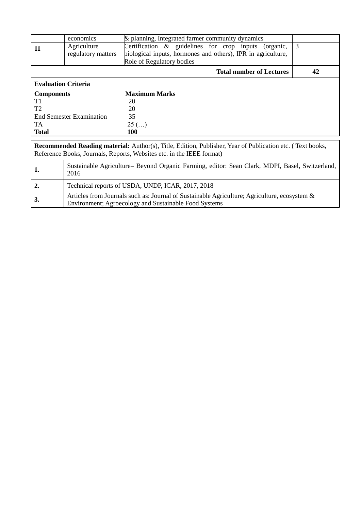|                                                                                                                                                                                           | economics                                                                                              |                                                                                                                         |                |  |  |  |
|-------------------------------------------------------------------------------------------------------------------------------------------------------------------------------------------|--------------------------------------------------------------------------------------------------------|-------------------------------------------------------------------------------------------------------------------------|----------------|--|--|--|
| 11                                                                                                                                                                                        | Agriculture                                                                                            | Certification $\&$ guidelines for crop inputs (organic,<br>biological inputs, hormones and others), IPR in agriculture, | $\overline{3}$ |  |  |  |
|                                                                                                                                                                                           | regulatory matters                                                                                     |                                                                                                                         |                |  |  |  |
|                                                                                                                                                                                           |                                                                                                        | Role of Regulatory bodies                                                                                               |                |  |  |  |
|                                                                                                                                                                                           |                                                                                                        | <b>Total number of Lectures</b>                                                                                         | 42             |  |  |  |
| <b>Evaluation Criteria</b>                                                                                                                                                                |                                                                                                        |                                                                                                                         |                |  |  |  |
| <b>Components</b>                                                                                                                                                                         |                                                                                                        | <b>Maximum Marks</b>                                                                                                    |                |  |  |  |
| T1                                                                                                                                                                                        |                                                                                                        | 20                                                                                                                      |                |  |  |  |
| T <sub>2</sub>                                                                                                                                                                            |                                                                                                        | 20                                                                                                                      |                |  |  |  |
|                                                                                                                                                                                           | <b>End Semester Examination</b>                                                                        | 35                                                                                                                      |                |  |  |  |
| TA.                                                                                                                                                                                       |                                                                                                        | $25$ ()                                                                                                                 |                |  |  |  |
| <b>Total</b>                                                                                                                                                                              |                                                                                                        | 100                                                                                                                     |                |  |  |  |
| <b>Recommended Reading material:</b> Author(s), Title, Edition, Publisher, Year of Publication etc. (Text books,<br>Reference Books, Journals, Reports, Websites etc. in the IEEE format) |                                                                                                        |                                                                                                                         |                |  |  |  |
| 1.                                                                                                                                                                                        | Sustainable Agriculture- Beyond Organic Farming, editor: Sean Clark, MDPI, Basel, Switzerland,<br>2016 |                                                                                                                         |                |  |  |  |
| 2.                                                                                                                                                                                        |                                                                                                        | Technical reports of USDA, UNDP, ICAR, 2017, 2018                                                                       |                |  |  |  |

**3.** Articles from Journals such as: Journal of Sustainable Agriculture; Agriculture, ecosystem &

Environment; Agroecology and Sustainable Food Systems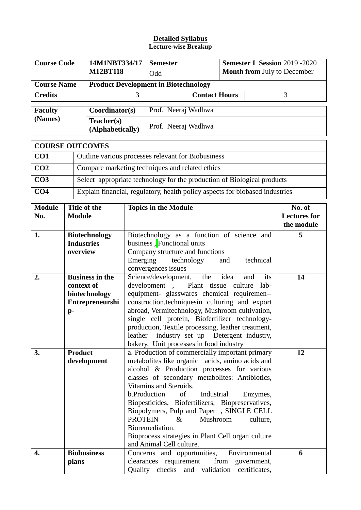| <b>Course Code</b>     |                               |  | 14M1NBT334/17<br><b>M12BT118</b> |                                                                                                   | <b>Semester</b>                                                                                 | <b>Semester I Session 2019 -2020</b><br><b>Month from July to December</b> |          |                  |                               |
|------------------------|-------------------------------|--|----------------------------------|---------------------------------------------------------------------------------------------------|-------------------------------------------------------------------------------------------------|----------------------------------------------------------------------------|----------|------------------|-------------------------------|
| <b>Course Name</b>     |                               |  |                                  |                                                                                                   | Odd                                                                                             |                                                                            |          |                  |                               |
|                        |                               |  |                                  |                                                                                                   | <b>Product Development in Biotechnology</b>                                                     |                                                                            |          |                  |                               |
| <b>Credits</b>         |                               |  |                                  | 3                                                                                                 |                                                                                                 | <b>Contact Hours</b>                                                       |          |                  | 3                             |
| <b>Faculty</b>         |                               |  | Coordinator(s)                   |                                                                                                   | Prof. Neeraj Wadhwa                                                                             |                                                                            |          |                  |                               |
| (Names)                |                               |  | Teacher(s)                       |                                                                                                   | Prof. Neeraj Wadhwa                                                                             |                                                                            |          |                  |                               |
|                        |                               |  | (Alphabetically)                 |                                                                                                   |                                                                                                 |                                                                            |          |                  |                               |
| <b>COURSE OUTCOMES</b> |                               |  |                                  |                                                                                                   |                                                                                                 |                                                                            |          |                  |                               |
| CO <sub>1</sub>        |                               |  |                                  |                                                                                                   | Outline various processes relevant for Biobusiness                                              |                                                                            |          |                  |                               |
| CO <sub>2</sub>        |                               |  |                                  |                                                                                                   | Compare marketing techniques and related ethics                                                 |                                                                            |          |                  |                               |
| CO <sub>3</sub>        |                               |  |                                  |                                                                                                   | Select appropriate technology for the production of Biological products                         |                                                                            |          |                  |                               |
| CO <sub>4</sub>        |                               |  |                                  |                                                                                                   | Explain financial, regulatory, health policy aspects for biobased industries                    |                                                                            |          |                  |                               |
|                        |                               |  |                                  |                                                                                                   |                                                                                                 |                                                                            |          |                  |                               |
| <b>Module</b><br>No.   | Title of the<br><b>Module</b> |  |                                  |                                                                                                   | <b>Topics in the Module</b>                                                                     |                                                                            |          |                  | No. of<br><b>Lectures for</b> |
|                        |                               |  |                                  |                                                                                                   |                                                                                                 |                                                                            |          |                  | the module                    |
| 1.                     |                               |  | <b>Biotechnology</b>             |                                                                                                   | Biotechnology as a function of science and                                                      |                                                                            |          |                  | 5                             |
|                        |                               |  | <b>Industries</b>                |                                                                                                   | business, Functional units                                                                      |                                                                            |          |                  |                               |
|                        | overview                      |  |                                  |                                                                                                   | Company structure and functions<br>Emerging technology                                          |                                                                            |          |                  |                               |
|                        |                               |  |                                  |                                                                                                   | convergences issues                                                                             |                                                                            |          |                  |                               |
| 2.                     |                               |  | <b>Business in the</b>           |                                                                                                   | Science/development,                                                                            | its<br>and<br>lab-                                                         | 14       |                  |                               |
|                        |                               |  | context of                       |                                                                                                   | development, Plant tissue culture                                                               |                                                                            |          |                  |                               |
|                        |                               |  | biotechnology<br>Entrepreneurshi |                                                                                                   | equipment- glasswares chemical requiremen--<br>construction, techniques in culturing and export |                                                                            |          |                  |                               |
|                        | $p-$                          |  |                                  |                                                                                                   | abroad, Vermitechnology, Mushroom cultivation,                                                  |                                                                            |          |                  |                               |
|                        |                               |  |                                  |                                                                                                   | single cell protein, Biofertilizer technology-                                                  |                                                                            |          |                  |                               |
|                        |                               |  |                                  | production, Textile processing, leather treatment,<br>leather industry set up Detergent industry, |                                                                                                 |                                                                            |          |                  |                               |
|                        |                               |  |                                  |                                                                                                   | bakery, Unit processes in food industry                                                         |                                                                            |          |                  |                               |
| 3.                     | <b>Product</b>                |  |                                  |                                                                                                   | a. Production of commercially important primary                                                 |                                                                            |          |                  | 12                            |
|                        |                               |  | development                      |                                                                                                   | metabolites like organic acids, amino acids and                                                 |                                                                            |          |                  |                               |
|                        |                               |  |                                  |                                                                                                   | alcohol & Production processes for various<br>classes of secondary metabolites: Antibiotics,    |                                                                            |          |                  |                               |
|                        |                               |  |                                  |                                                                                                   | Vitamins and Steroids.                                                                          |                                                                            |          |                  |                               |
|                        |                               |  |                                  |                                                                                                   | b.Production<br>of                                                                              | Enzymes,                                                                   |          |                  |                               |
|                        |                               |  |                                  |                                                                                                   | Biopesticides, Biofertilizers, Biopreservatives,<br>Biopolymers, Pulp and Paper, SINGLE CELL    |                                                                            |          |                  |                               |
|                        |                               |  | <b>PROTEIN</b>                   | &                                                                                                 | Mushroom                                                                                        |                                                                            | culture, |                  |                               |
|                        |                               |  |                                  |                                                                                                   | Bioremediation.                                                                                 |                                                                            |          |                  |                               |
|                        |                               |  |                                  |                                                                                                   | Bioprocess strategies in Plant Cell organ culture                                               |                                                                            |          |                  |                               |
| 4.                     |                               |  | <b>Biobusiness</b>               |                                                                                                   | and Animal Cell culture.<br>Concerns and oppurtunities,                                         |                                                                            |          | Environmental    | 6                             |
|                        | plans                         |  |                                  |                                                                                                   | clearances requirement                                                                          |                                                                            |          | from government, |                               |
|                        |                               |  |                                  |                                                                                                   | Quality checks and validation certificates,                                                     |                                                                            |          |                  |                               |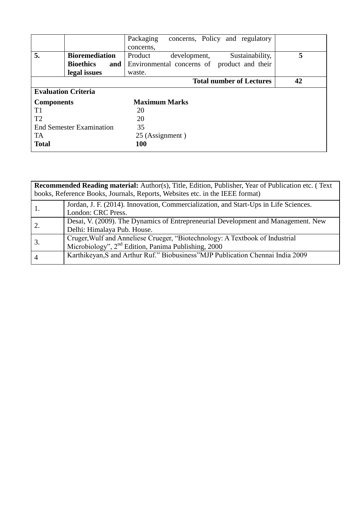|                                 |                                                  | Packaging<br>concerns, Policy and regulatory<br>concerns.                                 |    |
|---------------------------------|--------------------------------------------------|-------------------------------------------------------------------------------------------|----|
| 5.                              | <b>Bioremediation</b><br><b>Bioethics</b><br>and | Product<br>Sustainability,<br>development,<br>Environmental concerns of product and their | 5  |
|                                 | legal issues                                     | waste.                                                                                    |    |
|                                 |                                                  | <b>Total number of Lectures</b>                                                           | 42 |
|                                 | <b>Evaluation Criteria</b>                       |                                                                                           |    |
| <b>Components</b>               |                                                  | <b>Maximum Marks</b>                                                                      |    |
| T1                              |                                                  | 20                                                                                        |    |
| T <sub>2</sub>                  |                                                  | 20                                                                                        |    |
| <b>End Semester Examination</b> |                                                  | 35                                                                                        |    |
| <b>TA</b>                       |                                                  | 25 (Assignment)                                                                           |    |
| <b>Total</b>                    |                                                  | <b>100</b>                                                                                |    |

|                                                                              | <b>Recommended Reading material:</b> Author(s), Title, Edition, Publisher, Year of Publication etc. (Text |  |  |  |  |  |  |
|------------------------------------------------------------------------------|-----------------------------------------------------------------------------------------------------------|--|--|--|--|--|--|
| books, Reference Books, Journals, Reports, Websites etc. in the IEEE format) |                                                                                                           |  |  |  |  |  |  |
|                                                                              | Jordan, J. F. (2014). Innovation, Commercialization, and Start-Ups in Life Sciences.                      |  |  |  |  |  |  |
|                                                                              | London: CRC Press.                                                                                        |  |  |  |  |  |  |
|                                                                              | Desai, V. (2009). The Dynamics of Entrepreneurial Development and Management. New                         |  |  |  |  |  |  |
|                                                                              | Delhi: Himalaya Pub. House.                                                                               |  |  |  |  |  |  |
|                                                                              | Cruger, Wulf and Anneliese Crueger, "Biotechnology: A Textbook of Industrial                              |  |  |  |  |  |  |
|                                                                              | Microbiology", 2 <sup>nd</sup> Edition, Panima Publishing, 2000                                           |  |  |  |  |  |  |
| 4                                                                            | Karthikeyan, S and Arthur Ruf." Biobusiness "MJP Publication Chennai India 2009                           |  |  |  |  |  |  |
|                                                                              |                                                                                                           |  |  |  |  |  |  |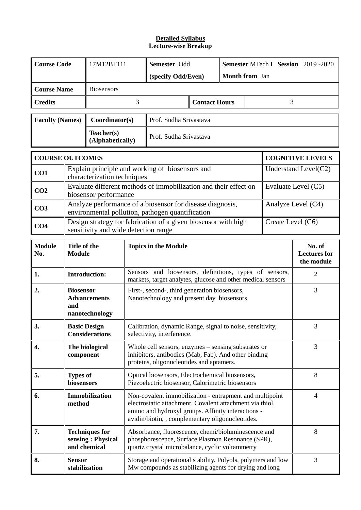| <b>Course Code</b>     |                                                                                                                                                                                                                                                                            | 17M12BT111                                                                                                                                | Semester Odd                                                                                                          |                                                                                                               | Semester MTech I Session 2019 -2020 |                |   |                                             |                         |
|------------------------|----------------------------------------------------------------------------------------------------------------------------------------------------------------------------------------------------------------------------------------------------------------------------|-------------------------------------------------------------------------------------------------------------------------------------------|-----------------------------------------------------------------------------------------------------------------------|---------------------------------------------------------------------------------------------------------------|-------------------------------------|----------------|---|---------------------------------------------|-------------------------|
|                        |                                                                                                                                                                                                                                                                            |                                                                                                                                           |                                                                                                                       | (specify Odd/Even)                                                                                            |                                     | Month from Jan |   |                                             |                         |
|                        | <b>Course Name</b><br><b>Biosensors</b>                                                                                                                                                                                                                                    |                                                                                                                                           |                                                                                                                       |                                                                                                               |                                     |                |   |                                             |                         |
| <b>Credits</b>         |                                                                                                                                                                                                                                                                            |                                                                                                                                           | 3                                                                                                                     |                                                                                                               | <b>Contact Hours</b>                |                |   | 3                                           |                         |
| <b>Faculty (Names)</b> |                                                                                                                                                                                                                                                                            | Coordinator(s)                                                                                                                            |                                                                                                                       | Prof. Sudha Srivastava                                                                                        |                                     |                |   |                                             |                         |
|                        |                                                                                                                                                                                                                                                                            | Teacher(s)<br>(Alphabetically)                                                                                                            |                                                                                                                       | Prof. Sudha Srivastava                                                                                        |                                     |                |   |                                             |                         |
| <b>COURSE OUTCOMES</b> |                                                                                                                                                                                                                                                                            |                                                                                                                                           |                                                                                                                       |                                                                                                               |                                     |                |   |                                             | <b>COGNITIVE LEVELS</b> |
| CO1                    |                                                                                                                                                                                                                                                                            | characterization techniques                                                                                                               |                                                                                                                       | Explain principle and working of biosensors and                                                               |                                     |                |   |                                             | Understand Level(C2)    |
| CO <sub>2</sub>        |                                                                                                                                                                                                                                                                            | biosensor performance                                                                                                                     |                                                                                                                       | Evaluate different methods of immobilization and their effect on                                              |                                     |                |   |                                             | Evaluate Level (C5)     |
| CO <sub>3</sub>        |                                                                                                                                                                                                                                                                            |                                                                                                                                           |                                                                                                                       | Analyze performance of a biosensor for disease diagnosis,<br>environmental pollution, pathogen quantification |                                     |                |   |                                             | Analyze Level (C4)      |
| CO <sub>4</sub>        |                                                                                                                                                                                                                                                                            | sensitivity and wide detection range                                                                                                      |                                                                                                                       | Design strategy for fabrication of a given biosensor with high                                                |                                     |                |   | Create Level (C6)                           |                         |
| <b>Module</b><br>No.   | Title of the<br><b>Module</b>                                                                                                                                                                                                                                              |                                                                                                                                           | <b>Topics in the Module</b>                                                                                           |                                                                                                               |                                     |                |   | No. of<br><b>Lectures</b> for<br>the module |                         |
| 1.                     |                                                                                                                                                                                                                                                                            | <b>Introduction:</b>                                                                                                                      | Sensors and biosensors, definitions, types of sensors,<br>markets, target analytes, glucose and other medical sensors |                                                                                                               |                                     |                | 2 |                                             |                         |
| 2.                     | <b>Biosensor</b><br><b>Advancements</b><br>and                                                                                                                                                                                                                             |                                                                                                                                           | First-, second-, third generation biosensors,<br>Nanotechnology and present day biosensors                            |                                                                                                               |                                     |                |   | 3                                           |                         |
|                        | nanotechnology                                                                                                                                                                                                                                                             |                                                                                                                                           |                                                                                                                       |                                                                                                               |                                     |                |   |                                             |                         |
| 3.                     |                                                                                                                                                                                                                                                                            | <b>Basic Design</b><br>Calibration, dynamic Range, signal to noise, sensitivity,<br><b>Considerations</b><br>selectivity, interference.   |                                                                                                                       |                                                                                                               |                                     |                |   | 3                                           |                         |
| 4.                     | Whole cell sensors, enzymes - sensing substrates or<br>The biological<br>inhibitors, antibodies (Mab, Fab). And other binding<br>component<br>proteins, oligonucleotides and aptamers.                                                                                     |                                                                                                                                           |                                                                                                                       |                                                                                                               |                                     | 3              |   |                                             |                         |
| 5.                     |                                                                                                                                                                                                                                                                            | 8<br><b>Types of</b><br>Optical biosensors, Electrochemical biosensors,<br>biosensors<br>Piezoelectric biosensor, Calorimetric biosensors |                                                                                                                       |                                                                                                               |                                     |                |   |                                             |                         |
| 6.                     | $\overline{4}$<br>Immobilization<br>Non-covalent immobilization - entrapment and multipoint<br>method<br>electrostatic attachment. Covalent attachment via thiol,<br>amino and hydroxyl groups. Affinity interactions -<br>avidin/biotin,, complementary oligonucleotides. |                                                                                                                                           |                                                                                                                       |                                                                                                               |                                     |                |   |                                             |                         |
| 7.                     | $8\,$<br><b>Techniques for</b><br>Absorbance, fluorescence, chemi/bioluminescence and<br>phosphorescence, Surface Plasmon Resonance (SPR),<br>sensing: Physical<br>and chemical<br>quartz crystal microbalance, cyclic voltammetry                                         |                                                                                                                                           |                                                                                                                       |                                                                                                               |                                     |                |   |                                             |                         |
| 8.                     | 3<br>Storage and operational stability. Polyols, polymers and low<br><b>Sensor</b><br>Mw compounds as stabilizing agents for drying and long<br>stabilization                                                                                                              |                                                                                                                                           |                                                                                                                       |                                                                                                               |                                     |                |   |                                             |                         |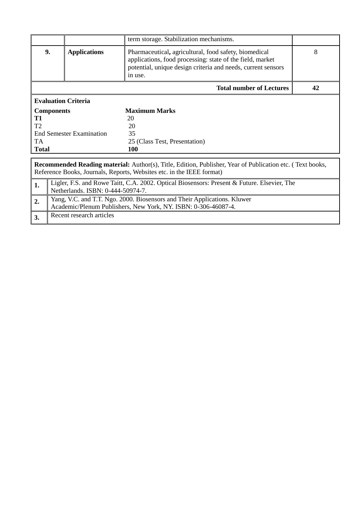|                                 |                                                                                                                                  | term storage. Stabilization mechanisms.                                                                                                                                                       |   |  |  |  |
|---------------------------------|----------------------------------------------------------------------------------------------------------------------------------|-----------------------------------------------------------------------------------------------------------------------------------------------------------------------------------------------|---|--|--|--|
| 9.                              | <b>Applications</b>                                                                                                              | Pharmaceutical, agricultural, food safety, biomedical<br>applications, food processing: state of the field, market<br>potential, unique design criteria and needs, current sensors<br>in use. | 8 |  |  |  |
|                                 | <b>Total number of Lectures</b>                                                                                                  |                                                                                                                                                                                               |   |  |  |  |
|                                 | <b>Evaluation Criteria</b>                                                                                                       |                                                                                                                                                                                               |   |  |  |  |
| <b>Components</b>               |                                                                                                                                  | <b>Maximum Marks</b>                                                                                                                                                                          |   |  |  |  |
| T1                              |                                                                                                                                  | 20                                                                                                                                                                                            |   |  |  |  |
| T <sub>2</sub>                  |                                                                                                                                  | 20                                                                                                                                                                                            |   |  |  |  |
| <b>End Semester Examination</b> |                                                                                                                                  | 35                                                                                                                                                                                            |   |  |  |  |
| TA                              |                                                                                                                                  | 25 (Class Test, Presentation)                                                                                                                                                                 |   |  |  |  |
| <b>Total</b>                    |                                                                                                                                  | <b>100</b>                                                                                                                                                                                    |   |  |  |  |
|                                 |                                                                                                                                  |                                                                                                                                                                                               |   |  |  |  |
|                                 |                                                                                                                                  | <b>Recommended Reading material:</b> Author(s), Title, Edition, Publisher, Year of Publication etc. (Text books,<br>Reference Books, Journals, Reports, Websites etc. in the IEEE format)     |   |  |  |  |
| 1.                              | Ligler, F.S. and Rowe Taitt, C.A. 2002. Optical Biosensors: Present & Future. Elsevier, The<br>Netherlands. ISBN: 0-444-50974-7. |                                                                                                                                                                                               |   |  |  |  |
| 2.                              |                                                                                                                                  | Yang, V.C. and T.T. Ngo. 2000. Biosensors and Their Applications. Kluwer<br>Academic/Plenum Publishers, New York, NY. ISBN: 0-306-46087-4.                                                    |   |  |  |  |

**3.** Recent research articles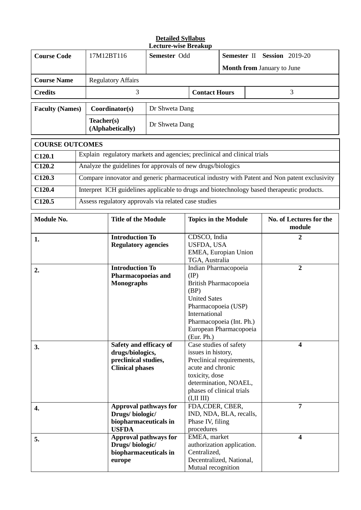|                        |  |                                                                                              |                                                                   | Lecture-wise dreakup                                                                                                                                                                 |                                                                                                                                                                                                           |                             |                         |                                                                                              |
|------------------------|--|----------------------------------------------------------------------------------------------|-------------------------------------------------------------------|--------------------------------------------------------------------------------------------------------------------------------------------------------------------------------------|-----------------------------------------------------------------------------------------------------------------------------------------------------------------------------------------------------------|-----------------------------|-------------------------|----------------------------------------------------------------------------------------------|
| <b>Course Code</b>     |  |                                                                                              | 17M12BT116                                                        | Semester Odd                                                                                                                                                                         |                                                                                                                                                                                                           | Semester II Session 2019-20 |                         |                                                                                              |
|                        |  |                                                                                              |                                                                   |                                                                                                                                                                                      |                                                                                                                                                                                                           |                             |                         | <b>Month from January to June</b>                                                            |
| <b>Course Name</b>     |  |                                                                                              | <b>Regulatory Affairs</b>                                         |                                                                                                                                                                                      |                                                                                                                                                                                                           |                             |                         |                                                                                              |
| <b>Credits</b>         |  |                                                                                              | 3                                                                 |                                                                                                                                                                                      | <b>Contact Hours</b>                                                                                                                                                                                      |                             |                         | 3                                                                                            |
| <b>Faculty (Names)</b> |  |                                                                                              | Coordinator(s)                                                    | Dr Shweta Dang                                                                                                                                                                       |                                                                                                                                                                                                           |                             |                         |                                                                                              |
|                        |  | Teacher(s)                                                                                   | (Alphabetically)                                                  | Dr Shweta Dang                                                                                                                                                                       |                                                                                                                                                                                                           |                             |                         |                                                                                              |
| <b>COURSE OUTCOMES</b> |  |                                                                                              |                                                                   |                                                                                                                                                                                      |                                                                                                                                                                                                           |                             |                         |                                                                                              |
| C120.1                 |  |                                                                                              |                                                                   | Explain regulatory markets and agencies; preclinical and clinical trials                                                                                                             |                                                                                                                                                                                                           |                             |                         |                                                                                              |
| C120.2                 |  |                                                                                              |                                                                   | Analyze the guidelines for approvals of new drugs/biologics                                                                                                                          |                                                                                                                                                                                                           |                             |                         |                                                                                              |
| C120.3                 |  |                                                                                              |                                                                   |                                                                                                                                                                                      |                                                                                                                                                                                                           |                             |                         | Compare innovator and generic pharmaceutical industry with Patent and Non patent exclusivity |
| C120.4                 |  |                                                                                              |                                                                   |                                                                                                                                                                                      |                                                                                                                                                                                                           |                             |                         | Interpret ICH guidelines applicable to drugs and biotechnology based therapeutic products.   |
| C120.5                 |  |                                                                                              |                                                                   | Assess regulatory approvals via related case studies                                                                                                                                 |                                                                                                                                                                                                           |                             |                         |                                                                                              |
|                        |  |                                                                                              |                                                                   |                                                                                                                                                                                      |                                                                                                                                                                                                           |                             |                         |                                                                                              |
| <b>Module No.</b>      |  |                                                                                              | <b>Title of the Module</b>                                        |                                                                                                                                                                                      | <b>Topics in the Module</b>                                                                                                                                                                               |                             |                         | No. of Lectures for the<br>module                                                            |
| 1.                     |  |                                                                                              | <b>Introduction To</b><br><b>Regulatory agencies</b>              |                                                                                                                                                                                      | CDSCO, India<br><b>USFDA, USA</b><br>EMEA, Europian Union<br>TGA, Australia                                                                                                                               |                             |                         | 2                                                                                            |
| 2.                     |  |                                                                                              | <b>Introduction To</b><br>Pharmacopoeias and<br><b>Monographs</b> |                                                                                                                                                                                      | Indian Pharmacopoeia<br>$(\text{IP})$<br>British Pharmacopoeia<br>(BP)<br><b>United Sates</b><br>Pharmacopoeia (USP)<br>International<br>Pharmacopoeia (Int. Ph.)<br>European Pharmacopoeia<br>(Eur. Ph.) |                             |                         | $\overline{2}$                                                                               |
| 3.                     |  | Safety and efficacy of<br>drugs/biologics,<br>preclinical studies,<br><b>Clinical phases</b> |                                                                   | Case studies of safety<br>issues in history,<br>Preclinical requirements,<br>acute and chronic<br>toxicity, dose<br>determination, NOAEL,<br>phases of clinical trials<br>(I,II III) |                                                                                                                                                                                                           |                             | 4                       |                                                                                              |
| 4.                     |  | <b>Approval pathways for</b><br>Drugs/biologic/<br>biopharmaceuticals in<br><b>USFDA</b>     |                                                                   | FDA,CDER, CBER,<br>IND, NDA, BLA, recalls,<br>Phase IV, filing<br>procedures                                                                                                         |                                                                                                                                                                                                           |                             | $\overline{7}$          |                                                                                              |
| 5.                     |  | Approval pathways for<br>Drugs/biologic/                                                     |                                                                   | EMEA, market<br>authorization application.                                                                                                                                           |                                                                                                                                                                                                           |                             | $\overline{\mathbf{4}}$ |                                                                                              |

Centralized,

Decentralized, National, Mutual recognition

**biopharmaceuticals in** 

**europe**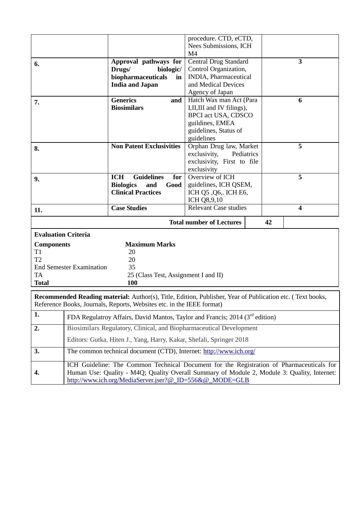|                                 |                                        | procedure. CTD, eCTD,           |                         |
|---------------------------------|----------------------------------------|---------------------------------|-------------------------|
|                                 |                                        | Nees Submissions, ICH           |                         |
|                                 |                                        | M <sub>4</sub>                  |                         |
| 6.                              | Approval pathways for                  | <b>Central Drug Standard</b>    | $\overline{\mathbf{3}}$ |
|                                 | Drugs/<br>biologic/                    | Control Organization,           |                         |
|                                 | biopharmaceuticals<br>in               | INDIA, Pharmaceutical           |                         |
|                                 | <b>India and Japan</b>                 | and Medical Devices             |                         |
|                                 |                                        | Agency of Japan                 |                         |
| 7.                              | <b>Generics</b><br>and                 | Hatch Wax man Act (Para         | 6                       |
|                                 | <b>Biosimilars</b>                     | I, II, III and IV filings),     |                         |
|                                 |                                        | <b>BPCI</b> act USA, CDSCO      |                         |
|                                 |                                        | guildines, EMEA                 |                         |
|                                 |                                        | guidelines, Status of           |                         |
|                                 |                                        | guidelines                      |                         |
| 8.                              | <b>Non Patent Exclusivities</b>        | Orphan Drug law, Market         | 5                       |
|                                 |                                        | exclusivity,<br>Pediatrics      |                         |
|                                 |                                        | exclusivity, First to file      |                         |
|                                 |                                        | exclusivity                     |                         |
| 9.                              | <b>Guidelines</b><br><b>ICH</b><br>for | Overview of ICH                 | 5                       |
|                                 | <b>Biologics</b><br>Good<br>and        | guidelines, ICH QSEM,           |                         |
|                                 | <b>Clinical Practices</b>              | ICH Q5, Q6,. ICH E6,            |                         |
|                                 |                                        | ICH Q8,9,10                     |                         |
| 11.                             | <b>Case Studies</b>                    | <b>Relevant Case studies</b>    | $\overline{\mathbf{4}}$ |
|                                 |                                        | <b>Total number of Lectures</b> | 42                      |
| <b>Evaluation Criteria</b>      |                                        |                                 |                         |
| <b>Components</b>               | <b>Maximum Marks</b>                   |                                 |                         |
| T1                              | 20                                     |                                 |                         |
| T2                              | 20                                     |                                 |                         |
| <b>End Semester Examination</b> | 35                                     |                                 |                         |
| <b>TA</b>                       | 25 (Class Test, Assignment I and II)   |                                 |                         |

**Total 100**

|    | FDA Regulatroy Affairs, David Mantos, Taylor and Francis; 2014 (3 <sup>rd</sup> edition)                                                                                                                                                           |
|----|----------------------------------------------------------------------------------------------------------------------------------------------------------------------------------------------------------------------------------------------------|
|    | Biosimilars Regulatory, Clinical, and Biopharmaceutical Development                                                                                                                                                                                |
|    | Editors: Gutka, Hiten J., Yang, Harry, Kakar, Shefali, Springer 2018                                                                                                                                                                               |
| 3. | The common technical document (CTD), Internet: http://www.ich.org/                                                                                                                                                                                 |
|    | ICH Guideline: The Common Technical Document for the Registration of Pharmaceuticals for<br>Human Use: Quality - M4Q; Quality Overall Summary of Module 2, Module 3: Quality, Internet:<br>http://www.ich.org/MediaServer.jser?@_ID=556&@_MODE=GLB |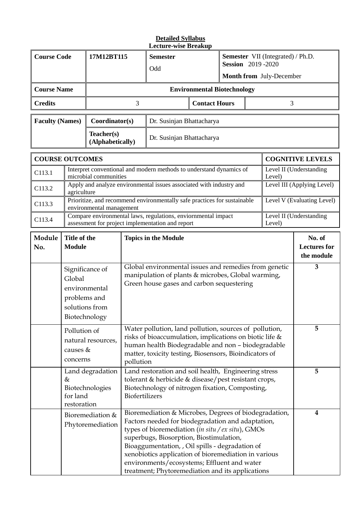| <b>Detailed Syllabus</b><br><b>Lecture-wise Breakup</b> |                                                                                                                                                                                                                                                          |                                |                                                                                                                             |                                                                                                                                                                                                                                                                                                                                                                      |                                                                      |  |                         |                          |                                             |
|---------------------------------------------------------|----------------------------------------------------------------------------------------------------------------------------------------------------------------------------------------------------------------------------------------------------------|--------------------------------|-----------------------------------------------------------------------------------------------------------------------------|----------------------------------------------------------------------------------------------------------------------------------------------------------------------------------------------------------------------------------------------------------------------------------------------------------------------------------------------------------------------|----------------------------------------------------------------------|--|-------------------------|--------------------------|---------------------------------------------|
| <b>Course Code</b>                                      |                                                                                                                                                                                                                                                          | 17M12BT115                     | <b>Semester</b><br>Odd                                                                                                      |                                                                                                                                                                                                                                                                                                                                                                      | <b>Semester</b> VII (Integrated) / Ph.D.<br><b>Session</b> 2019-2020 |  |                         |                          |                                             |
|                                                         |                                                                                                                                                                                                                                                          |                                |                                                                                                                             |                                                                                                                                                                                                                                                                                                                                                                      |                                                                      |  |                         | Month from July-December |                                             |
| <b>Course Name</b>                                      |                                                                                                                                                                                                                                                          |                                |                                                                                                                             | <b>Environmental Biotechnology</b>                                                                                                                                                                                                                                                                                                                                   |                                                                      |  |                         |                          |                                             |
| <b>Credits</b>                                          |                                                                                                                                                                                                                                                          |                                | 3                                                                                                                           |                                                                                                                                                                                                                                                                                                                                                                      | <b>Contact Hours</b>                                                 |  |                         | 3                        |                                             |
| <b>Faculty (Names)</b>                                  |                                                                                                                                                                                                                                                          | Coordinator(s)                 |                                                                                                                             | Dr. Susinjan Bhattacharya                                                                                                                                                                                                                                                                                                                                            |                                                                      |  |                         |                          |                                             |
|                                                         |                                                                                                                                                                                                                                                          | Teacher(s)<br>(Alphabetically) |                                                                                                                             | Dr. Susinjan Bhattacharya                                                                                                                                                                                                                                                                                                                                            |                                                                      |  |                         |                          |                                             |
| <b>COURSE OUTCOMES</b>                                  |                                                                                                                                                                                                                                                          |                                |                                                                                                                             |                                                                                                                                                                                                                                                                                                                                                                      |                                                                      |  |                         |                          | <b>COGNITIVE LEVELS</b>                     |
| C113.1                                                  |                                                                                                                                                                                                                                                          | microbial communities          |                                                                                                                             | Interpret conventional and modern methods to understand dynamics of                                                                                                                                                                                                                                                                                                  |                                                                      |  |                         | Level)                   | Level II (Understanding                     |
| C <sub>113.2</sub>                                      | agriculture                                                                                                                                                                                                                                              |                                |                                                                                                                             | Apply and analyze environmental issues associated with industry and                                                                                                                                                                                                                                                                                                  |                                                                      |  |                         |                          | Level III (Applying Level)                  |
| C113.3                                                  |                                                                                                                                                                                                                                                          | environmental management       |                                                                                                                             | Prioritize, and recommend environmentally safe practices for sustainable                                                                                                                                                                                                                                                                                             |                                                                      |  |                         |                          | Level V (Evaluating Level)                  |
| C113.4                                                  |                                                                                                                                                                                                                                                          |                                | Compare environmental laws, regulations, enviornmental impact<br>assessment for project implementation and report<br>Level) |                                                                                                                                                                                                                                                                                                                                                                      |                                                                      |  | Level II (Understanding |                          |                                             |
| Module<br>No.                                           | Title of the<br><b>Module</b>                                                                                                                                                                                                                            |                                |                                                                                                                             | <b>Topics in the Module</b>                                                                                                                                                                                                                                                                                                                                          |                                                                      |  |                         |                          | No. of<br><b>Lectures for</b><br>the module |
|                                                         | Significance of<br>Global<br>environmental<br>problems and<br>solutions from<br>Biotechnology                                                                                                                                                            |                                |                                                                                                                             | Global environmental issues and remedies from genetic<br>manipulation of plants & microbes, Global warming,<br>Green house gases and carbon sequestering                                                                                                                                                                                                             |                                                                      |  |                         |                          | 3                                           |
|                                                         | Pollution of<br>natural resources,<br>causes &<br>concerns                                                                                                                                                                                               |                                |                                                                                                                             | Water pollution, land pollution, sources of pollution,<br>risks of bioaccumulation, implications on biotic life &<br>human health Biodegradable and non - biodegradable<br>matter, toxicity testing, Biosensors, Bioindicators of<br>pollution                                                                                                                       |                                                                      |  |                         |                          | 5                                           |
|                                                         | Land degradation<br>Land restoration and soil health, Engineering stress<br>tolerant & herbicide & disease/pest resistant crops,<br>&<br>Biotechnologies<br>Biotechnology of nitrogen fixation, Composting,<br>for land<br>Biofertilizers<br>restoration |                                |                                                                                                                             |                                                                                                                                                                                                                                                                                                                                                                      |                                                                      |  |                         |                          | 5                                           |
| Bioremediation &<br>Phytoremediation                    |                                                                                                                                                                                                                                                          |                                |                                                                                                                             | Bioremediation & Microbes, Degrees of biodegradation,<br>Factors needed for biodegradation and adaptation,<br>types of bioremediation (in situ / ex situ), GMOs<br>superbugs, Biosorption, Biostimulation,<br>Bioaggumentation, , Oil spills - degradation of<br>xenobiotics application of bioremediation in various<br>environments/ecosystems; Effluent and water |                                                                      |  |                         |                          | $\boldsymbol{4}$                            |

treatment; Phytoremediation and its applications